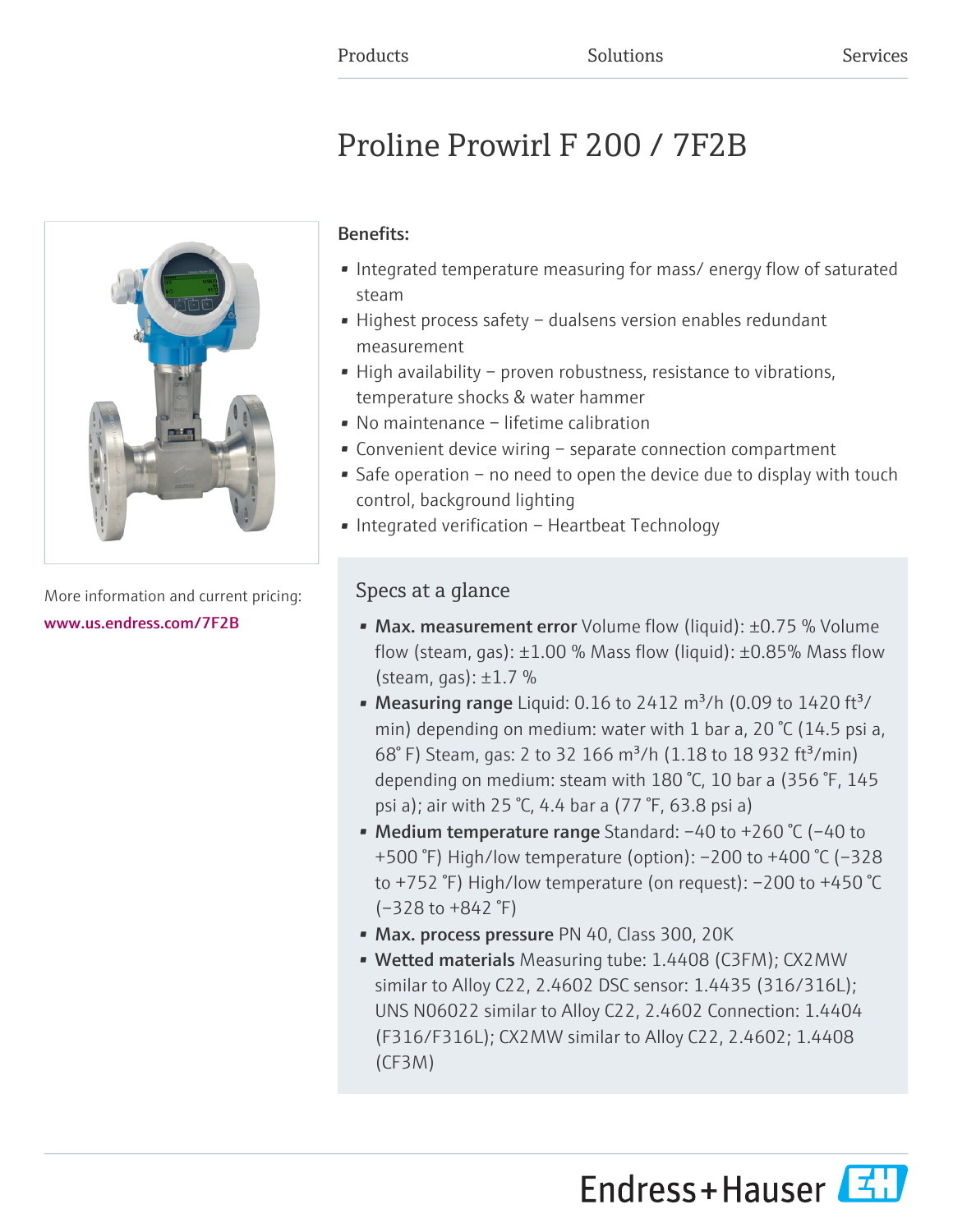# Proline Prowirl F 200 / 7F2B



More information and current pricing: [www.us.endress.com/7F2B](https://www.us.endress.com/7F2B)

# Benefits:

- Integrated temperature measuring for mass/ energy flow of saturated steam
- Highest process safety dualsens version enables redundant measurement
- High availability proven robustness, resistance to vibrations, temperature shocks & water hammer
- No maintenance lifetime calibration
- Convenient device wiring separate connection compartment
- Safe operation no need to open the device due to display with touch control, background lighting
- Integrated verification Heartbeat Technology

# Specs at a glance

- Max. measurement error Volume flow (liquid): ±0.75 % Volume flow (steam, gas):  $\pm 1.00$  % Mass flow (liquid):  $\pm 0.85$ % Mass flow (steam, gas):  $\pm 1.7$  %
- Measuring range Liquid: 0.16 to 2412  $\text{m}^3/\text{h}$  (0.09 to 1420 ft $\frac{3}{4}$ ) min) depending on medium: water with 1 bar a, 20  $\degree$ C (14.5 psi a, 68° F) Steam, gas: 2 to 32 166 m<sup>3</sup>/h (1.18 to 18 932 ft<sup>3</sup>/min) depending on medium: steam with 180 °C, 10 bar a (356 °F, 145 psi a); air with 25 °C, 4.4 bar a (77 °F, 63.8 psi a)
- Medium temperature range Standard: –40 to +260 °C (–40 to +500 °F) High/low temperature (option): –200 to +400 °C (–328 to +752 °F) High/low temperature (on request): –200 to +450 °C (–328 to +842 °F)
- Max. process pressure PN 40, Class 300, 20K
- Wetted materials Measuring tube: 1.4408 (C3FM); CX2MW similar to Alloy C22, 2.4602 DSC sensor: 1.4435 (316/316L); UNS N06022 similar to Alloy C22, 2.4602 Connection: 1.4404 (F316/F316L); CX2MW similar to Alloy C22, 2.4602; 1.4408 (CF3M)

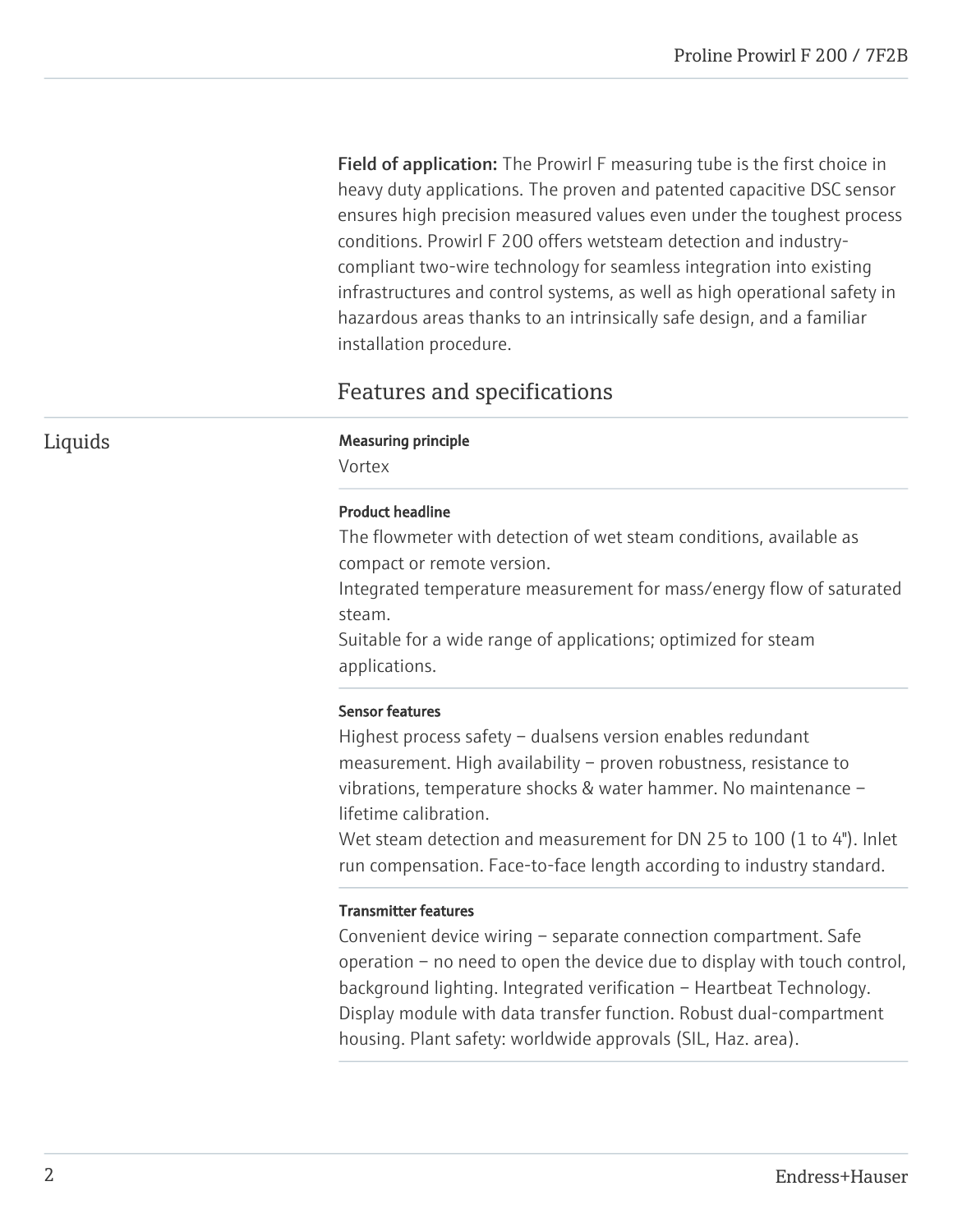Field of application: The Prowirl F measuring tube is the first choice in heavy duty applications. The proven and patented capacitive DSC sensor ensures high precision measured values even under the toughest process conditions. Prowirl F 200 offers wetsteam detection and industrycompliant two-wire technology for seamless integration into existing infrastructures and control systems, as well as high operational safety in hazardous areas thanks to an intrinsically safe design, and a familiar installation procedure.

# Features and specifications

# Liquids Measuring principle

Vortex

#### Product headline

The flowmeter with detection of wet steam conditions, available as compact or remote version.

Integrated temperature measurement for mass/energy flow of saturated steam.

Suitable for a wide range of applications; optimized for steam applications.

#### Sensor features

Highest process safety – dualsens version enables redundant measurement. High availability – proven robustness, resistance to vibrations, temperature shocks & water hammer. No maintenance – lifetime calibration.

Wet steam detection and measurement for DN 25 to 100 (1 to 4"). Inlet run compensation. Face-to-face length according to industry standard.

#### Transmitter features

Convenient device wiring – separate connection compartment. Safe operation – no need to open the device due to display with touch control, background lighting. Integrated verification – Heartbeat Technology. Display module with data transfer function. Robust dual-compartment housing. Plant safety: worldwide approvals (SIL, Haz. area).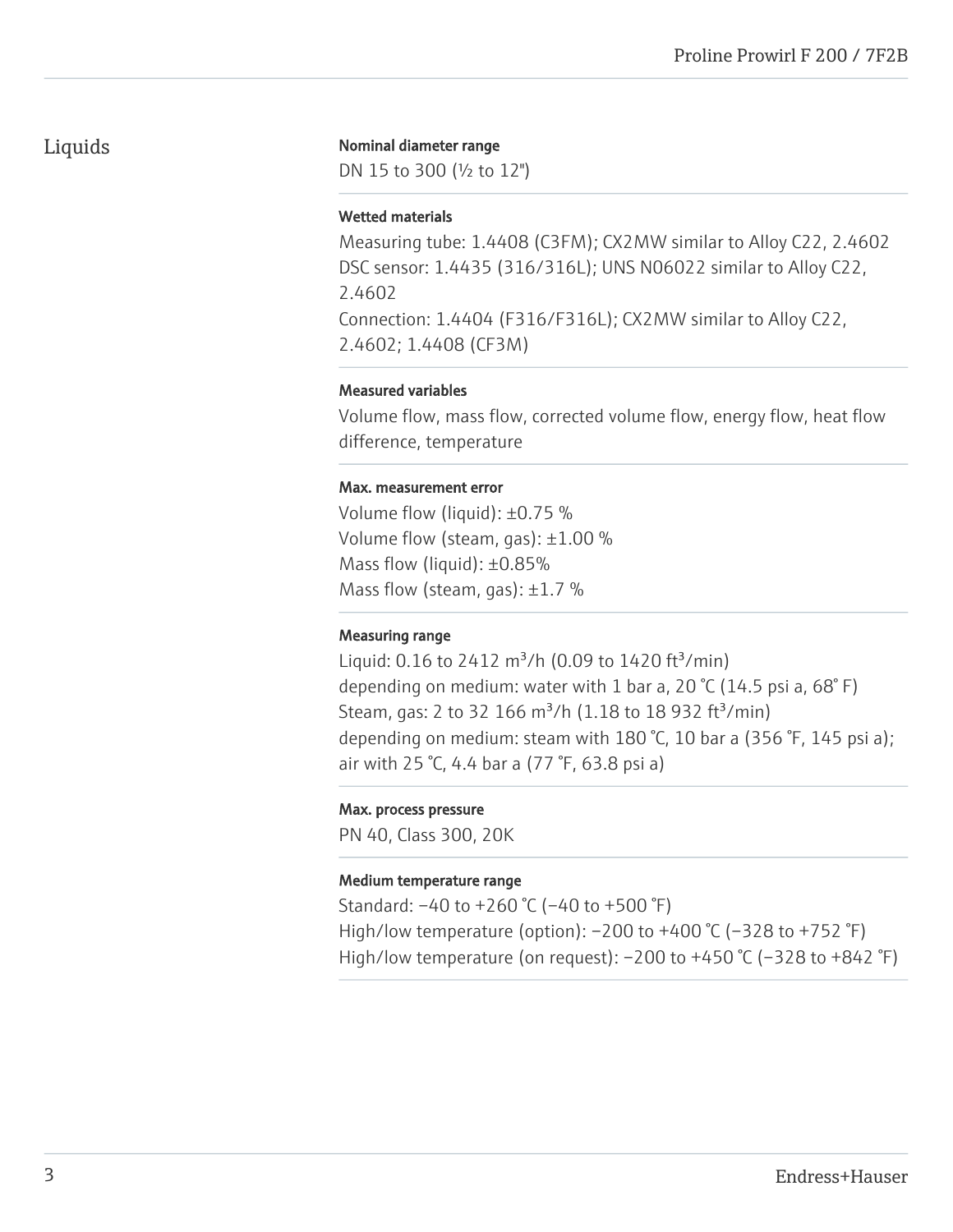# Liquids

#### Nominal diameter range

DN 15 to 300 (½ to 12")

#### Wetted materials

Measuring tube: 1.4408 (C3FM); CX2MW similar to Alloy C22, 2.4602 DSC sensor: 1.4435 (316/316L); UNS N06022 similar to Alloy C22, 2.4602 Connection: 1.4404 (F316/F316L); CX2MW similar to Alloy C22, 2.4602; 1.4408 (CF3M)

#### Measured variables

Volume flow, mass flow, corrected volume flow, energy flow, heat flow difference, temperature

#### Max. measurement error

Volume flow (liquid): ±0.75 % Volume flow (steam, gas): ±1.00 % Mass flow (liquid): ±0.85% Mass flow (steam, gas):  $\pm 1.7$  %

#### Measuring range

Liquid: 0.16 to 2412  $\text{m}^3$ /h (0.09 to 1420 ft<sup>3</sup>/min) depending on medium: water with 1 bar a, 20  $\degree$ C (14.5 psi a, 68 $\degree$ F) Steam, gas: 2 to 32 166  $\text{m}^3$ /h (1.18 to 18 932 ft $^3$ /min) depending on medium: steam with 180 °C, 10 bar a (356 °F, 145 psi a); air with 25 °C, 4.4 bar a (77 °F, 63.8 psi a)

#### Max. process pressure

PN 40, Class 300, 20K

#### Medium temperature range

Standard: –40 to +260 °C (–40 to +500 °F) High/low temperature (option): –200 to +400 °C (–328 to +752 °F) High/low temperature (on request):  $-200$  to  $+450$  °C ( $-328$  to  $+842$  °F)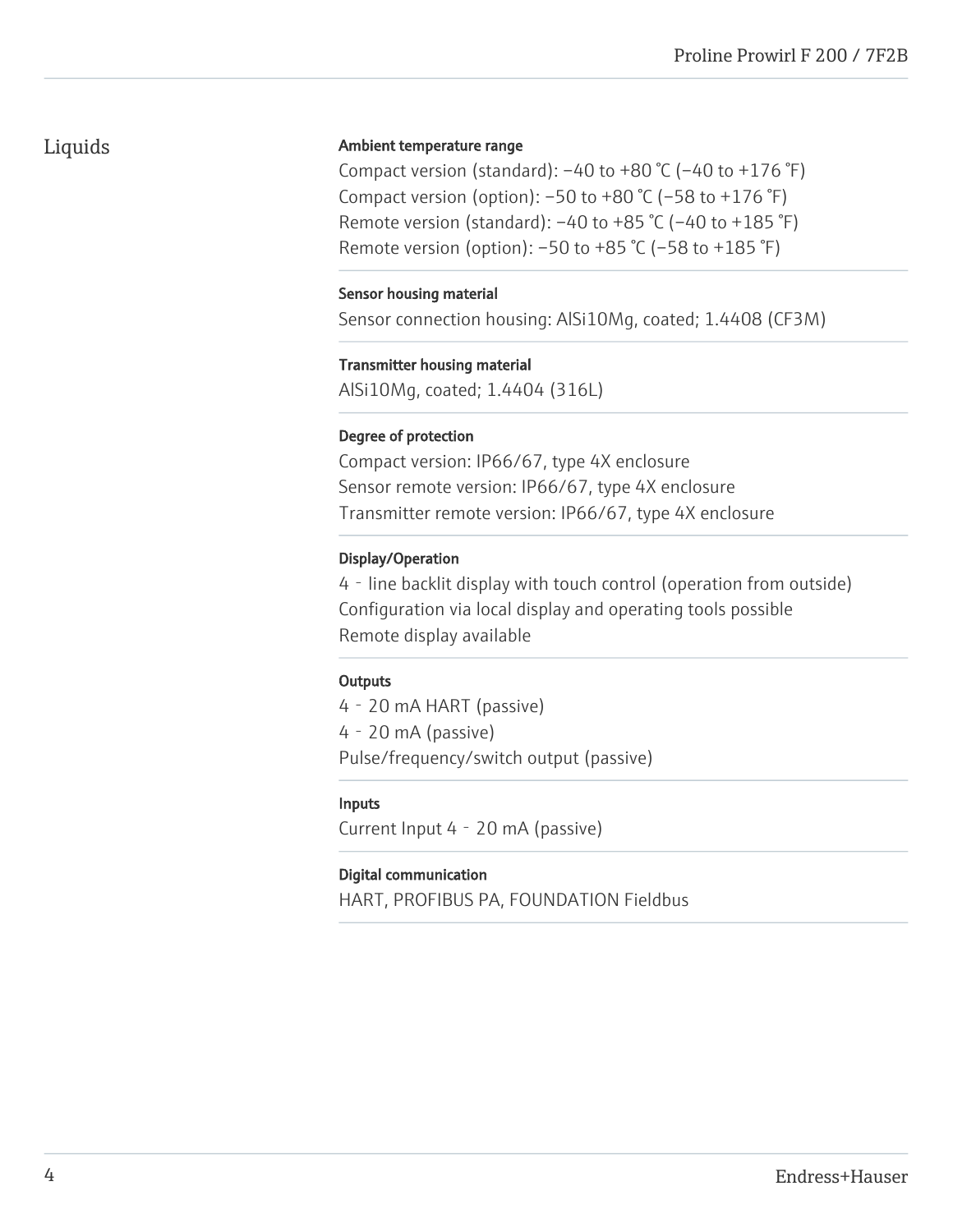# Liquids

#### Ambient temperature range

Compact version (standard):  $-40$  to  $+80$  °C ( $-40$  to  $+176$  °F) Compact version (option):  $-50$  to  $+80$  °C ( $-58$  to  $+176$  °F) Remote version (standard):  $-40$  to  $+85$  °C ( $-40$  to  $+185$  °F) Remote version (option): –50 to +85 °C (–58 to +185 °F)

#### Sensor housing material

Sensor connection housing: AlSi10Mg, coated; 1.4408 (CF3M)

#### Transmitter housing material

AlSi10Mg, coated; 1.4404 (316L)

#### Degree of protection

Compact version: IP66/67, type 4X enclosure Sensor remote version: IP66/67, type 4X enclosure Transmitter remote version: IP66/67, type 4X enclosure

#### Display/Operation

4‐line backlit display with touch control (operation from outside) Configuration via local display and operating tools possible Remote display available

#### **Outputs**

4‐20 mA HART (passive) 4‐20 mA (passive) Pulse/frequency/switch output (passive)

#### Inputs

Current Input 4‐20 mA (passive)

#### Digital communication

HART, PROFIBUS PA, FOUNDATION Fieldbus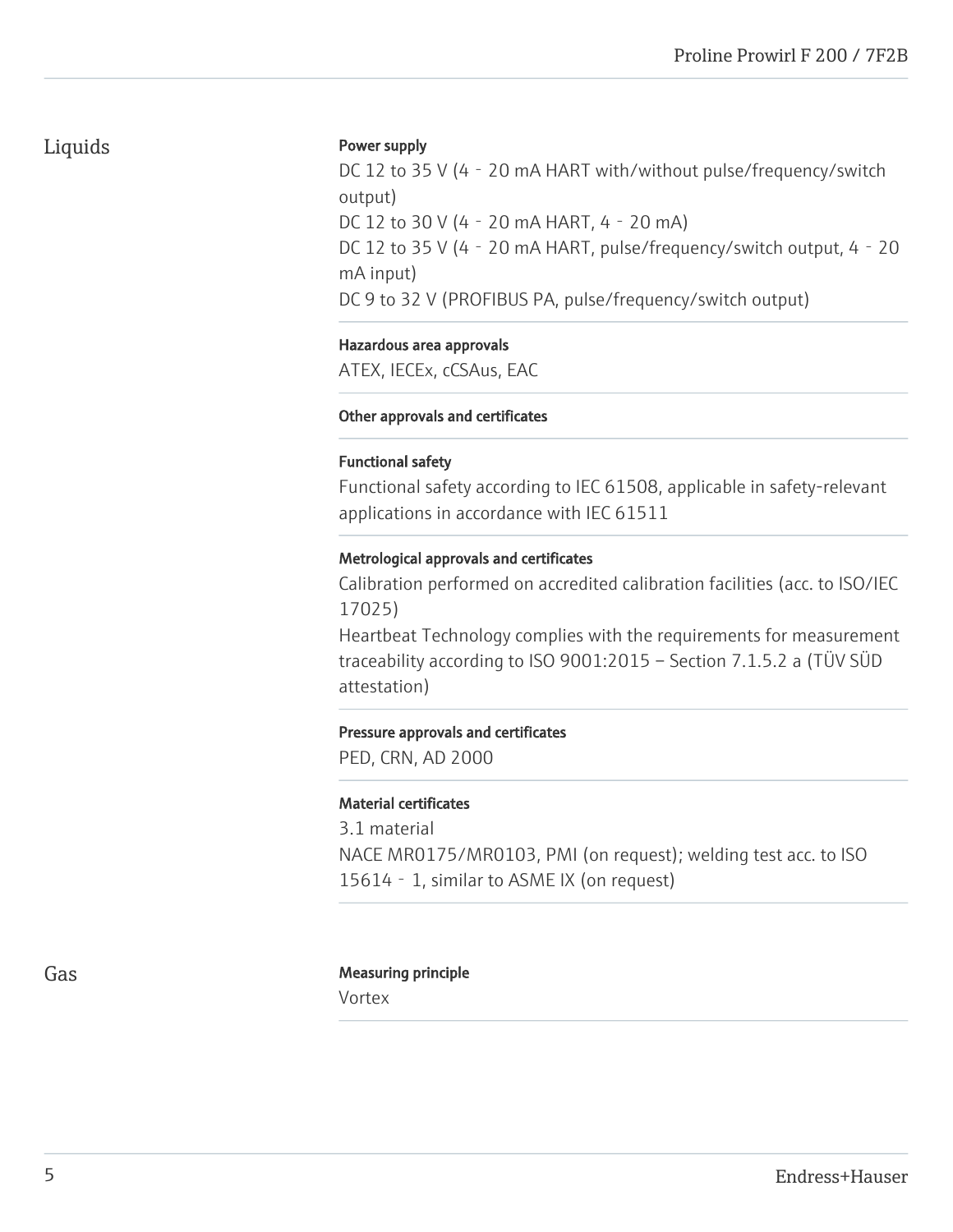#### Power supply

DC 12 to 35 V (4 - 20 mA HART with/without pulse/frequency/switch output) DC 12 to 30 V (4‐20 mA HART, 4‐20 mA) DC 12 to 35 V (4 - 20 mA HART, pulse/frequency/switch output, 4 - 20 mA input) DC 9 to 32 V (PROFIBUS PA, pulse/frequency/switch output)

#### Hazardous area approvals

ATEX, IECEx, cCSAus, EAC

#### Other approvals and certificates

#### Functional safety

Functional safety according to IEC 61508, applicable in safety-relevant applications in accordance with IEC 61511

#### Metrological approvals and certificates

Calibration performed on accredited calibration facilities (acc. to ISO/IEC 17025)

Heartbeat Technology complies with the requirements for measurement traceability according to ISO 9001:2015 – Section 7.1.5.2 a (TÜV SÜD attestation)

#### Pressure approvals and certificates

PED, CRN, AD 2000

#### Material certificates

3.1 material NACE MR0175/MR0103, PMI (on request); welding test acc. to ISO 15614 - 1, similar to ASME IX (on request)

#### Gas **Gas** Measuring principle

Vortex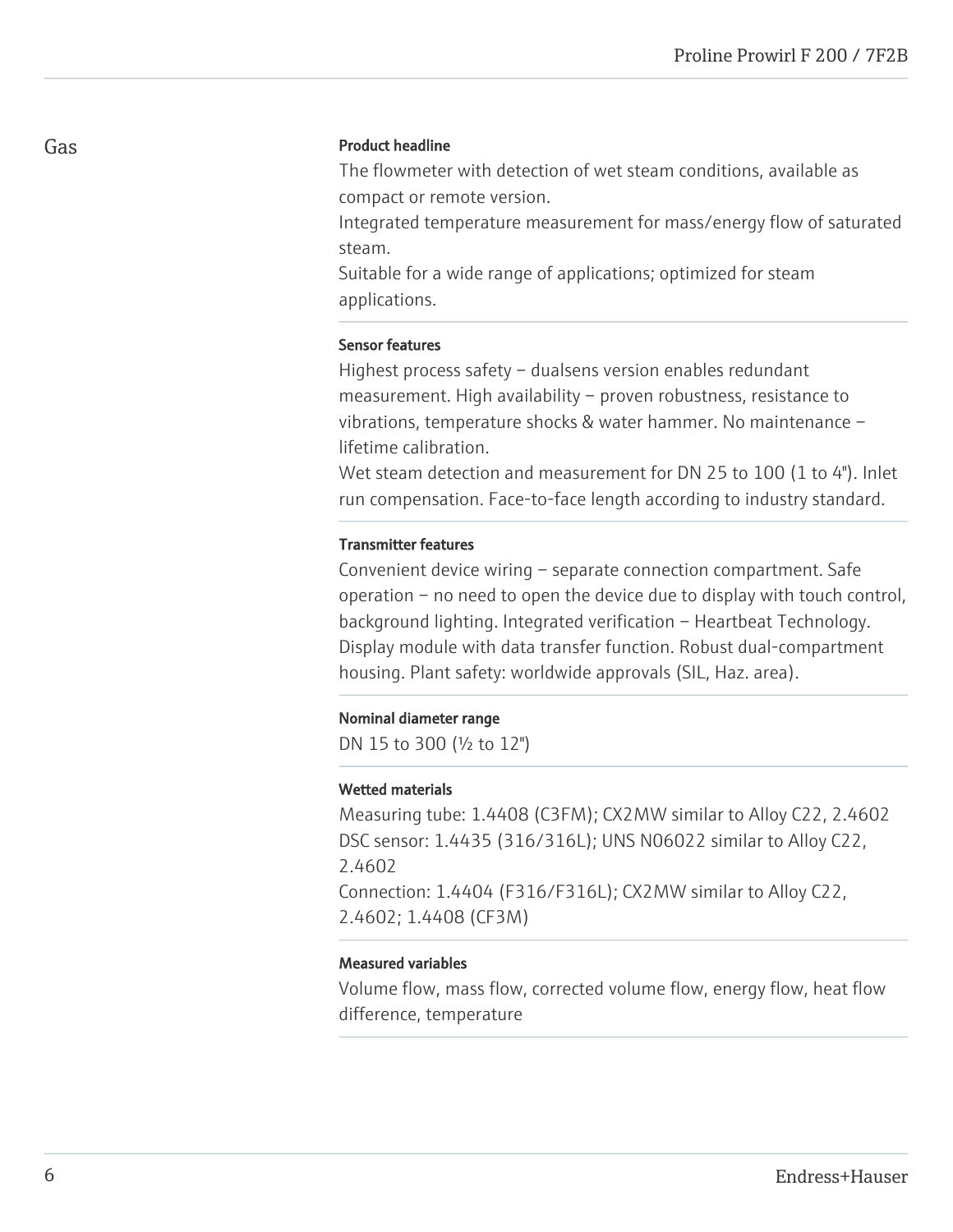#### Product headline

The flowmeter with detection of wet steam conditions, available as compact or remote version.

Integrated temperature measurement for mass/energy flow of saturated steam.

Suitable for a wide range of applications; optimized for steam applications.

#### Sensor features

Highest process safety – dualsens version enables redundant measurement. High availability – proven robustness, resistance to vibrations, temperature shocks & water hammer. No maintenance – lifetime calibration.

Wet steam detection and measurement for DN 25 to 100 (1 to 4"). Inlet run compensation. Face-to-face length according to industry standard.

#### Transmitter features

Convenient device wiring – separate connection compartment. Safe operation – no need to open the device due to display with touch control, background lighting. Integrated verification – Heartbeat Technology. Display module with data transfer function. Robust dual-compartment housing. Plant safety: worldwide approvals (SIL, Haz. area).

#### Nominal diameter range

DN 15 to 300 (½ to 12")

#### Wetted materials

Measuring tube: 1.4408 (C3FM); CX2MW similar to Alloy C22, 2.4602 DSC sensor: 1.4435 (316/316L); UNS N06022 similar to Alloy C22, 2.4602 Connection: 1.4404 (F316/F316L); CX2MW similar to Alloy C22, 2.4602; 1.4408 (CF3M)

#### Measured variables

Volume flow, mass flow, corrected volume flow, energy flow, heat flow difference, temperature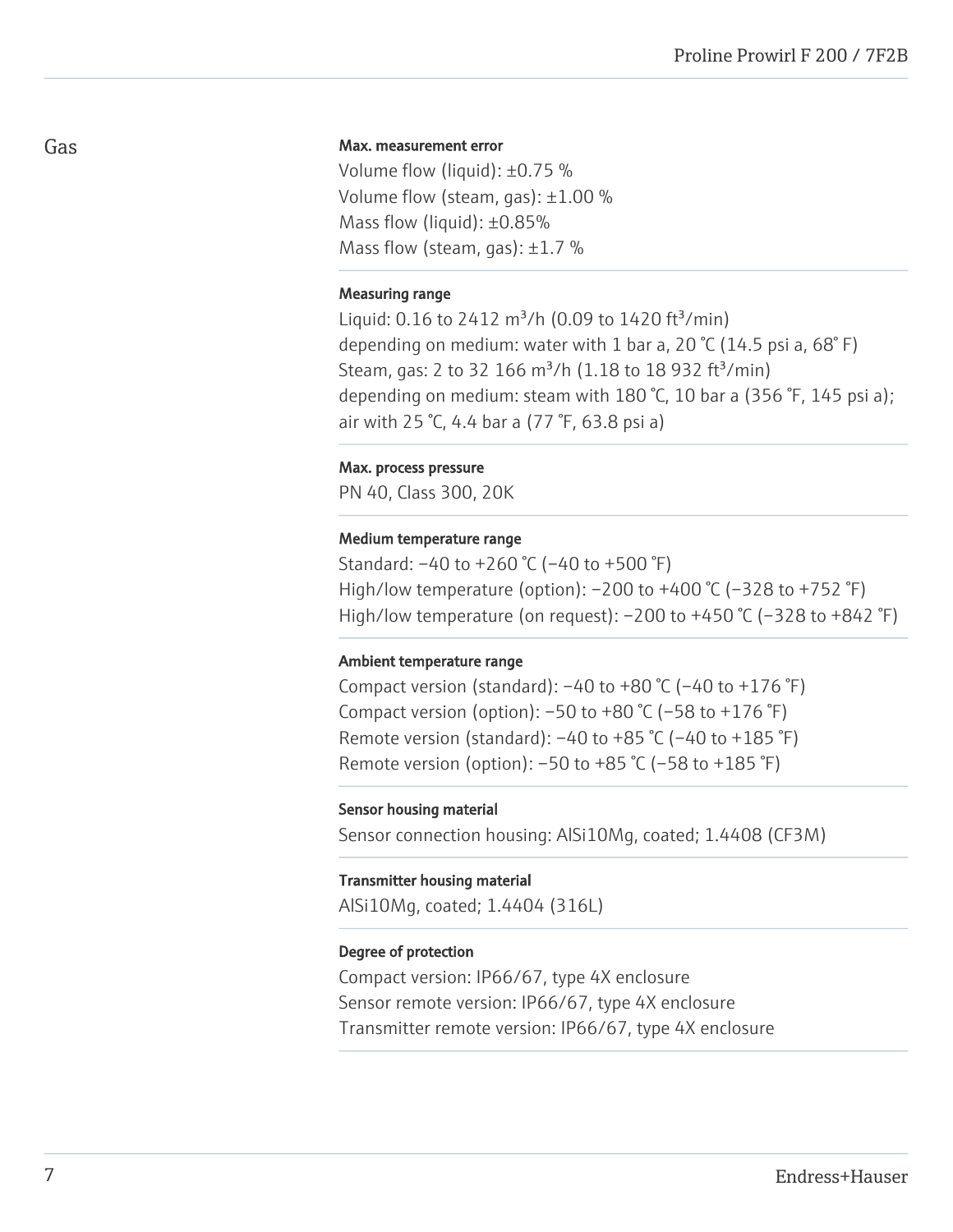#### Max. measurement error

Volume flow (liquid): ±0.75 % Volume flow (steam, gas): ±1.00 % Mass flow (liquid): ±0.85% Mass flow (steam, gas):  $\pm 1.7$  %

#### Measuring range

Liquid:  $0.16$  to 2412 m<sup>3</sup>/h (0.09 to 1420 ft<sup>3</sup>/min) depending on medium: water with 1 bar a, 20  $\degree$ C (14.5 psi a, 68 $\degree$ F) Steam, gas: 2 to 32 166 m<sup>3</sup>/h (1.18 to 18 932 ft<sup>3</sup>/min) depending on medium: steam with 180 °C, 10 bar a (356 °F, 145 psi a); air with 25 °C, 4.4 bar a (77 °F, 63.8 psi a)

#### Max. process pressure

PN 40, Class 300, 20K

#### Medium temperature range

Standard: –40 to +260 °C (–40 to +500 °F) High/low temperature (option): –200 to +400 °C (–328 to +752 °F) High/low temperature (on request):  $-200$  to  $+450$  °C ( $-328$  to  $+842$  °F)

#### Ambient temperature range

Compact version (standard):  $-40$  to  $+80$  °C ( $-40$  to  $+176$  °F) Compact version (option):  $-50$  to  $+80$  °C ( $-58$  to  $+176$  °F) Remote version (standard):  $-40$  to  $+85$  °C ( $-40$  to  $+185$  °F) Remote version (option):  $-50$  to  $+85$  °C ( $-58$  to  $+185$  °F)

#### Sensor housing material

Sensor connection housing: AlSi10Mg, coated; 1.4408 (CF3M)

#### Transmitter housing material

AlSi10Mg, coated; 1.4404 (316L)

#### Degree of protection

Compact version: IP66/67, type 4X enclosure Sensor remote version: IP66/67, type 4X enclosure Transmitter remote version: IP66/67, type 4X enclosure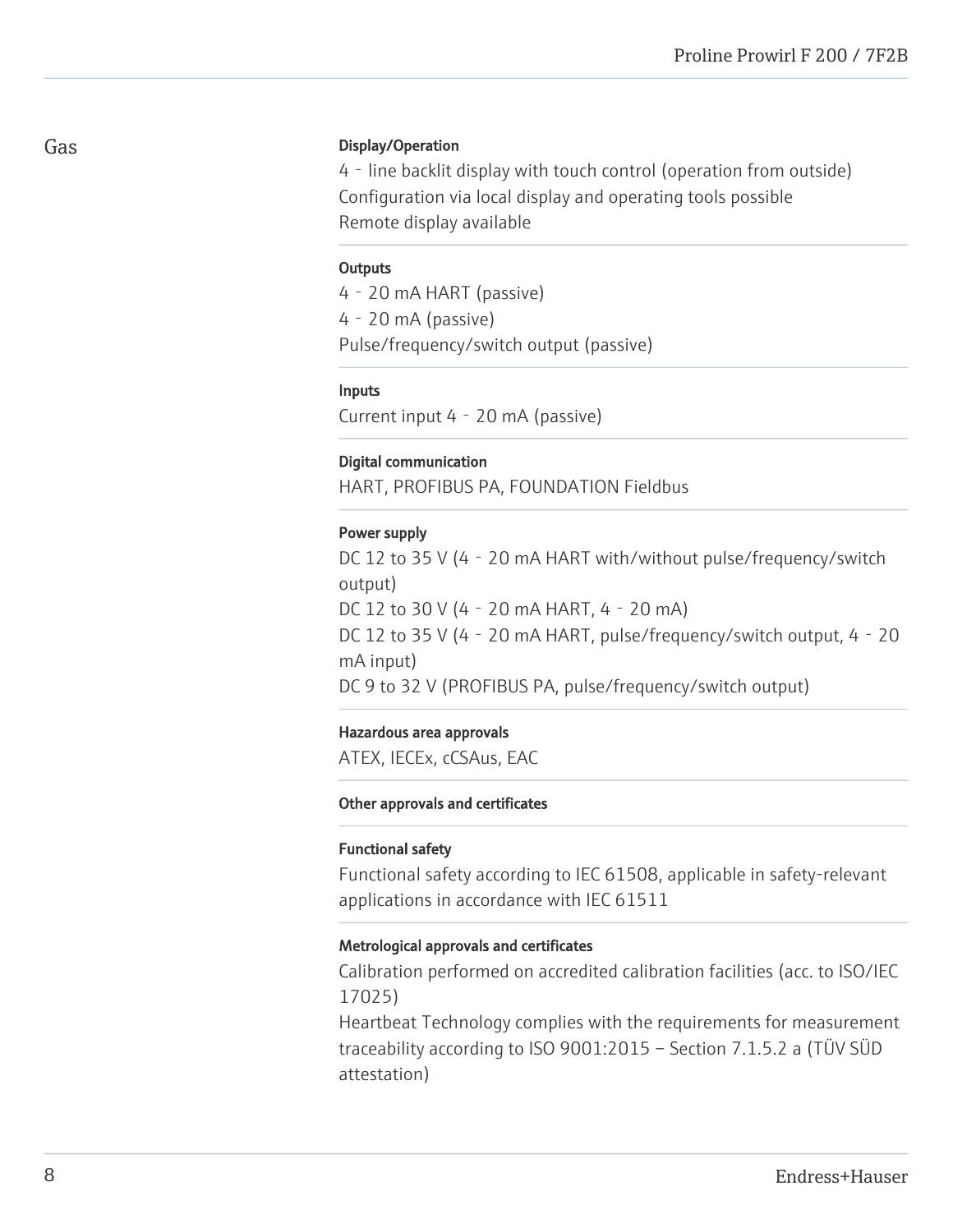#### Gas

#### Display/Operation

4‐line backlit display with touch control (operation from outside) Configuration via local display and operating tools possible Remote display available

#### **Outputs**

4‐20 mA HART (passive) 4‐20 mA (passive) Pulse/frequency/switch output (passive)

#### Inputs

Current input 4‐20 mA (passive)

#### Digital communication

HART, PROFIBUS PA, FOUNDATION Fieldbus

#### Power supply

DC 12 to 35 V (4 - 20 mA HART with/without pulse/frequency/switch output) DC 12 to 30 V (4‐20 mA HART, 4‐20 mA) DC 12 to 35 V (4 - 20 mA HART, pulse/frequency/switch output, 4 - 20 mA input) DC 9 to 32 V (PROFIBUS PA, pulse/frequency/switch output)

#### Hazardous area approvals

ATEX, IECEx, cCSAus, EAC

#### Other approvals and certificates

#### Functional safety

Functional safety according to IEC 61508, applicable in safety-relevant applications in accordance with IEC 61511

#### Metrological approvals and certificates

Calibration performed on accredited calibration facilities (acc. to ISO/IEC 17025)

Heartbeat Technology complies with the requirements for measurement traceability according to ISO 9001:2015 – Section 7.1.5.2 a (TÜV SÜD attestation)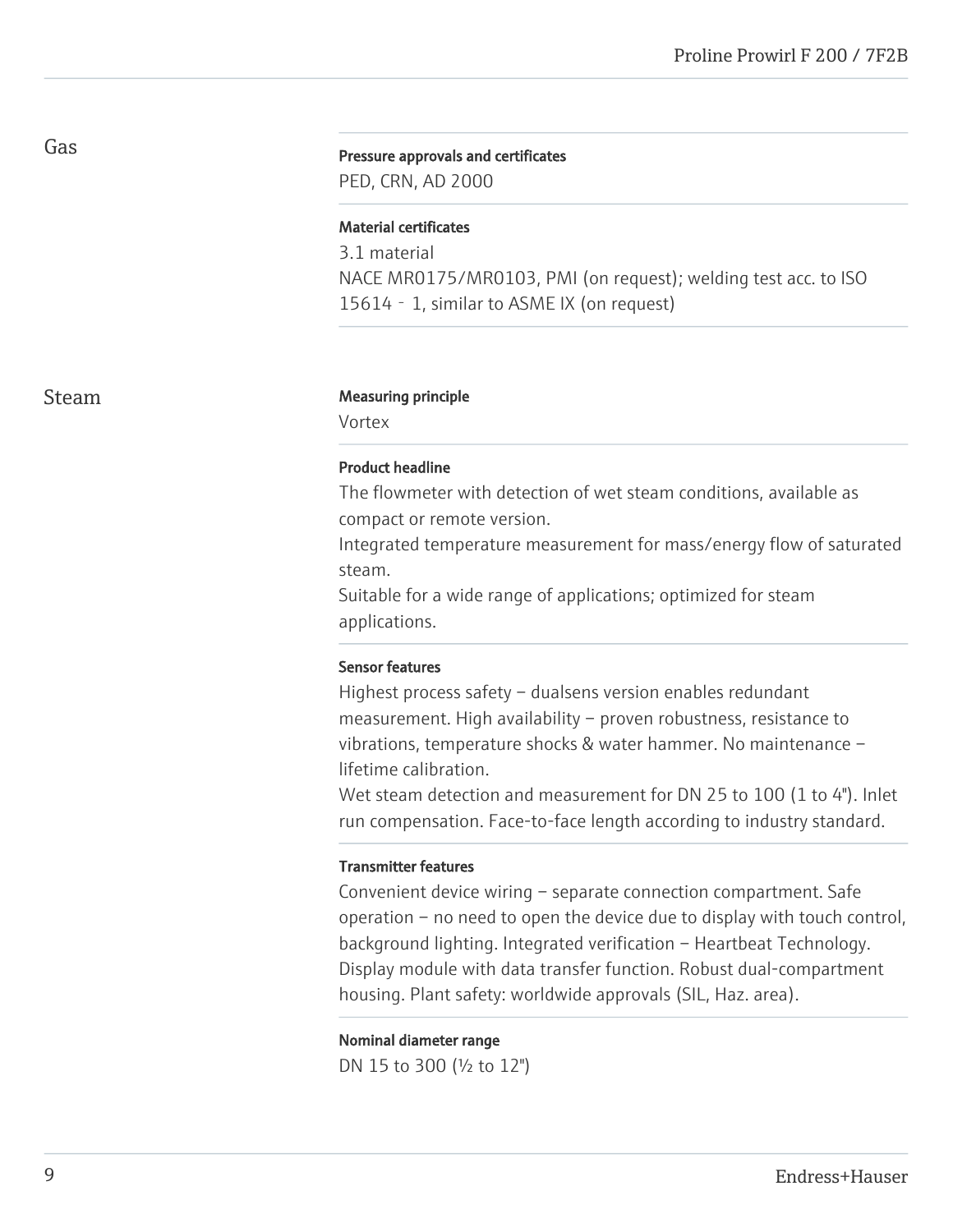#### Pressure approvals and certificates

PED, CRN, AD 2000

#### Material certificates

3.1 material NACE MR0175/MR0103, PMI (on request); welding test acc. to ISO 15614 - 1, similar to ASME IX (on request)

#### Steam Measuring principle

Vortex

#### Product headline

The flowmeter with detection of wet steam conditions, available as compact or remote version.

Integrated temperature measurement for mass/energy flow of saturated steam.

Suitable for a wide range of applications; optimized for steam applications.

#### Sensor features

Highest process safety – dualsens version enables redundant measurement. High availability – proven robustness, resistance to vibrations, temperature shocks & water hammer. No maintenance – lifetime calibration.

Wet steam detection and measurement for DN 25 to 100 (1 to 4"). Inlet run compensation. Face-to-face length according to industry standard.

#### Transmitter features

Convenient device wiring – separate connection compartment. Safe operation – no need to open the device due to display with touch control, background lighting. Integrated verification – Heartbeat Technology. Display module with data transfer function. Robust dual-compartment housing. Plant safety: worldwide approvals (SIL, Haz. area).

#### Nominal diameter range

DN 15 to 300 (½ to 12")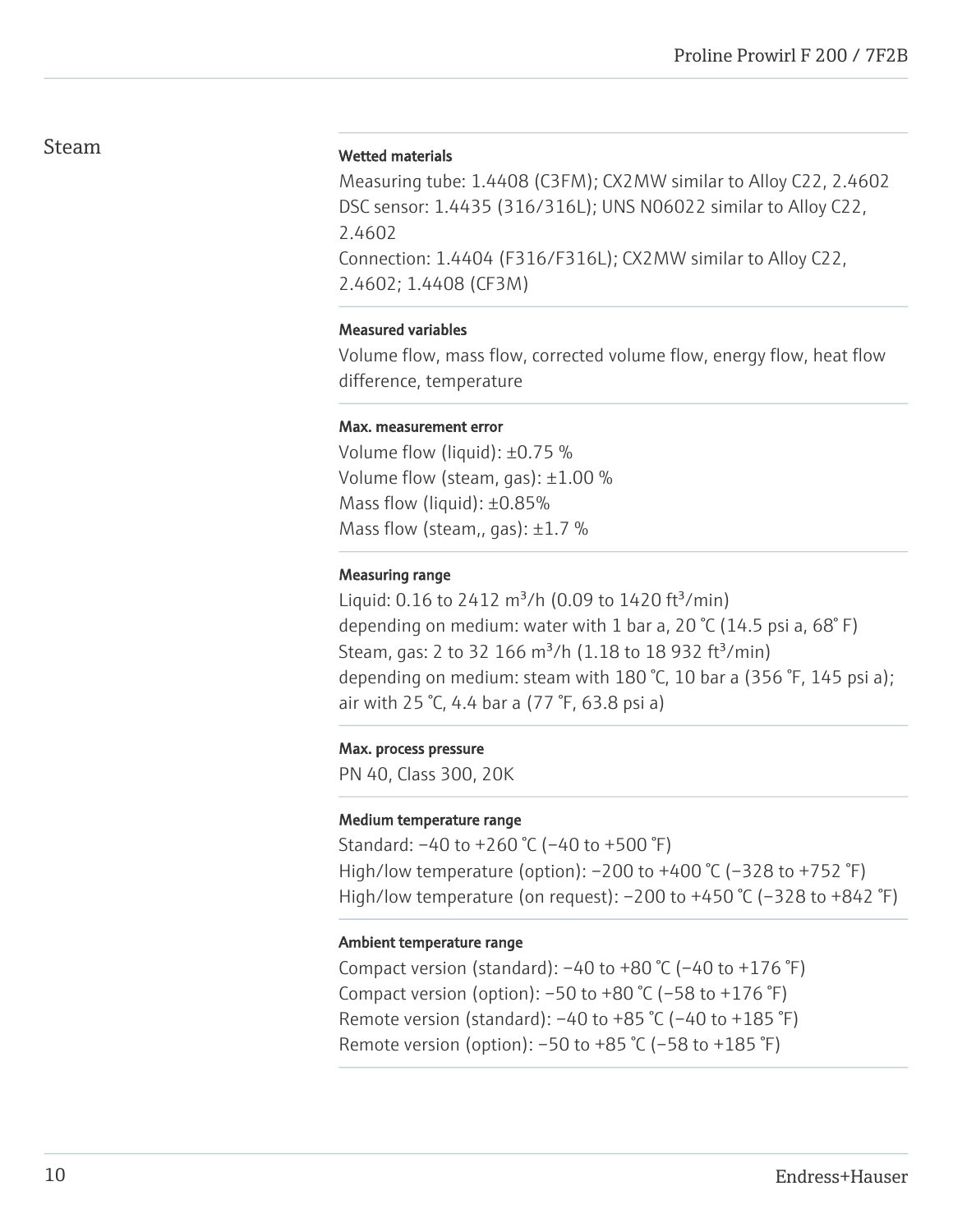# Steam

#### Wetted materials

Measuring tube: 1.4408 (C3FM); CX2MW similar to Alloy C22, 2.4602 DSC sensor: 1.4435 (316/316L); UNS N06022 similar to Alloy C22, 2.4602 Connection: 1.4404 (F316/F316L); CX2MW similar to Alloy C22, 2.4602; 1.4408 (CF3M)

#### Measured variables

Volume flow, mass flow, corrected volume flow, energy flow, heat flow difference, temperature

#### Max. measurement error

Volume flow (liquid): ±0.75 % Volume flow (steam, gas): ±1.00 % Mass flow (liquid): ±0.85% Mass flow (steam,, gas):  $\pm 1.7$  %

#### Measuring range

Liquid:  $0.16$  to 2412 m<sup>3</sup>/h (0.09 to 1420 ft<sup>3</sup>/min) depending on medium: water with 1 bar a, 20 °C (14.5 psi a, 68°F) Steam, gas: 2 to 32 166  $\text{m}^3$ /h (1.18 to 18 932 ft $^3$ /min) depending on medium: steam with 180 °C, 10 bar a (356 °F, 145 psi a); air with 25 °C, 4.4 bar a (77 °F, 63.8 psi a)

#### Max. process pressure

PN 40, Class 300, 20K

#### Medium temperature range

Standard: –40 to +260 °C (–40 to +500 °F) High/low temperature (option): –200 to +400 °C (–328 to +752 °F) High/low temperature (on request):  $-200$  to  $+450$  °C ( $-328$  to  $+842$  °F)

#### Ambient temperature range

Compact version (standard):  $-40$  to  $+80$  °C ( $-40$  to  $+176$  °F) Compact version (option):  $-50$  to  $+80$  °C ( $-58$  to  $+176$  °F) Remote version (standard):  $-40$  to  $+85$  °C ( $-40$  to  $+185$  °F) Remote version (option):  $-50$  to  $+85$  °C ( $-58$  to  $+185$  °F)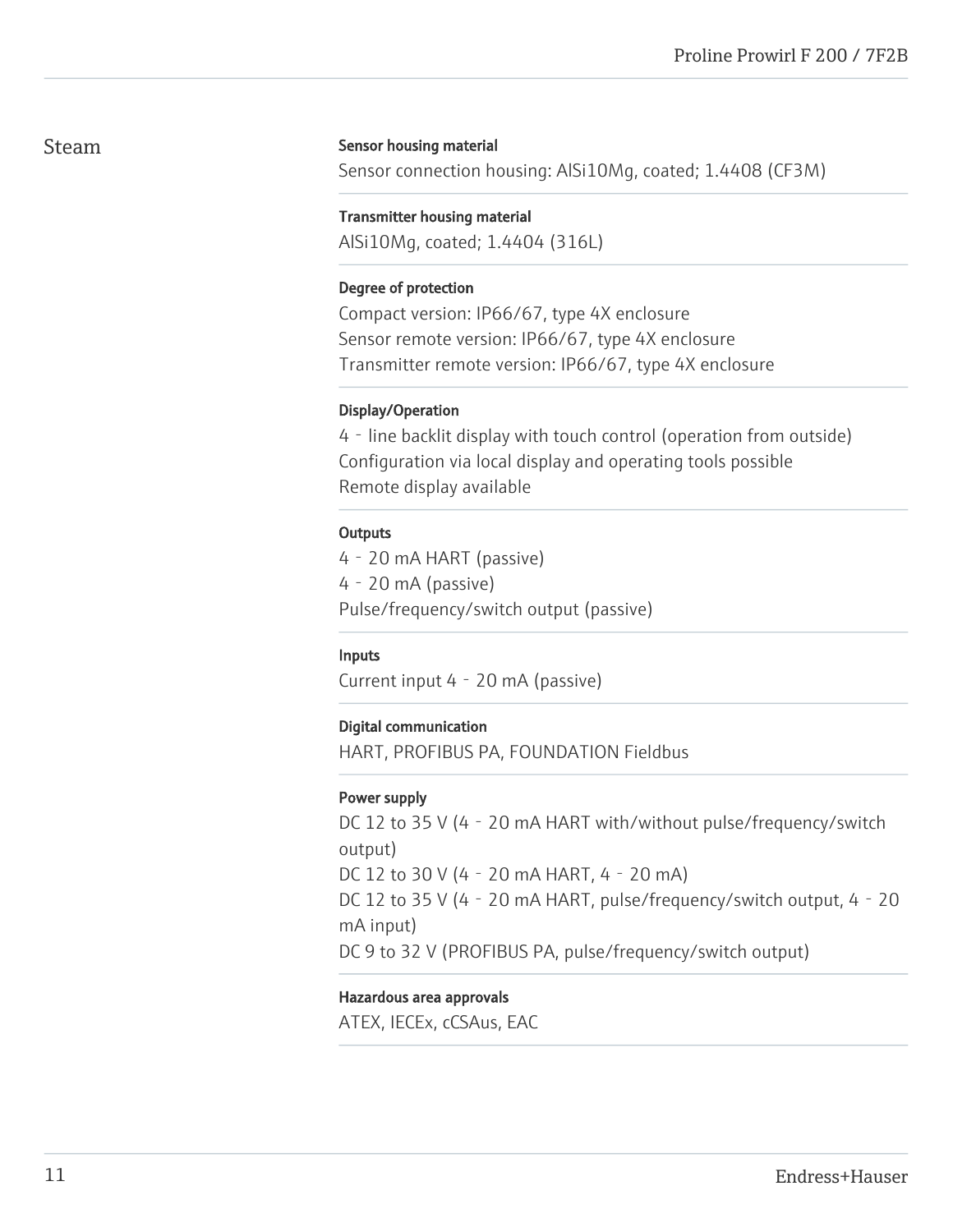# Steam

#### Sensor housing material

Sensor connection housing: AlSi10Mg, coated; 1.4408 (CF3M)

#### Transmitter housing material

AlSi10Mg, coated; 1.4404 (316L)

#### Degree of protection

Compact version: IP66/67, type 4X enclosure Sensor remote version: IP66/67, type 4X enclosure Transmitter remote version: IP66/67, type 4X enclosure

#### Display/Operation

4‐line backlit display with touch control (operation from outside) Configuration via local display and operating tools possible Remote display available

#### **Outputs**

4‐20 mA HART (passive) 4‐20 mA (passive) Pulse/frequency/switch output (passive)

#### Inputs

Current input 4‐20 mA (passive)

#### Digital communication

HART, PROFIBUS PA, FOUNDATION Fieldbus

#### Power supply

DC 12 to 35 V (4 - 20 mA HART with/without pulse/frequency/switch output) DC 12 to 30 V (4‐20 mA HART, 4‐20 mA) DC 12 to 35 V (4 - 20 mA HART, pulse/frequency/switch output, 4 - 20 mA input) DC 9 to 32 V (PROFIBUS PA, pulse/frequency/switch output)

#### Hazardous area approvals

ATEX, IECEx, cCSAus, EAC